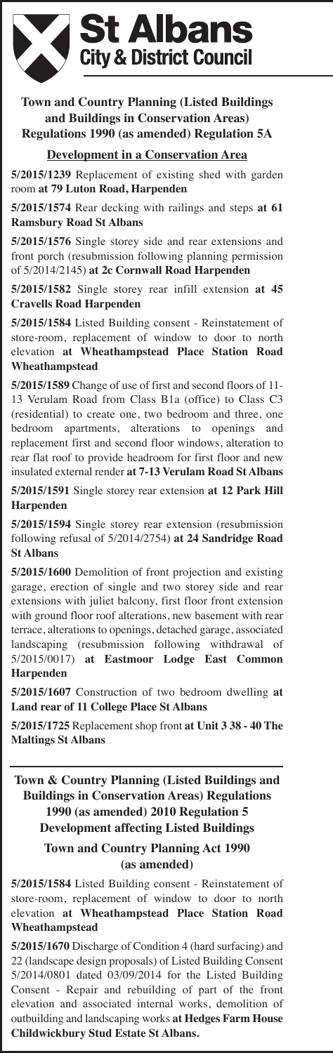

**Town and Country Planning (Listed Buildings and Buildings in Conservation Areas) Regulations 1990 (as amended) Regulation 5A**

#### **Development in a Conservation Area**

**5/2015/1239** Replacement of existing shed with garden room **at 79 Luton Road, Harpenden**

**5/2015/1574** Rear decking with railings and steps **at 61 Ramsbury Road St Albans**

**5/2015/1576** Single storey side and rear extensions and front porch (resubmission following planning permission of 5/2014/2145) **at 2c Cornwall Road Harpenden**

**5/2015/1582** Single storey rear infill extension **at 45 Cravells Road Harpenden**

**5/2015/1584** Listed Building consent - Reinstatement of store-room, replacement of window to door to north elevation **at Wheathampstead Place Station Road Wheathampstead**

**5/2015/1589** Change of use of first and second floors of 11- 13 Verulam Road from Class B1a (office) to Class C3 (residential) to create one, two bedroom and three, one bedroom apartments, alterations to openings and replacement first and second floor windows, alteration to rear flat roof to provide headroom for first floor and new insulated external render **at 7-13 Verulam Road St Albans**

**5/2015/1591** Single storey rear extension **at 12 Park Hill Harpenden**

**5/2015/1594** Single storey rear extension (resubmission following refusal of 5/2014/2754) **at 24 Sandridge Road St Albans**

**5/2015/1600** Demolition of front projection and existing garage, erection of single and two storey side and rear extensions with juliet balcony, first floor front extension with ground floor roof alterations, new basement with rear terrace, alterations to openings, detached garage, associated landscaping (resubmission following withdrawal of 5/2015/0017) **at Eastmoor Lodge East Common Harpenden**

**5/2015/1607** Construction of two bedroom dwelling **at Land rear of 11 College Place St Albans**

**5/2015/1725** Replacement shop front **at Unit 3 38 - 40 The Maltings St Albans**

**Town & Country Planning (Listed Buildings and Buildings in Conservation Areas) Regulations 1990 (as amended) 2010 Regulation 5 Development affecting Listed Buildings**

#### **Town and Country Planning Act 1990 (as amended)**

**5/2015/1584** Listed Building consent - Reinstatement of store-room, replacement of window to door to north elevation **at Wheathampstead Place Station Road Wheathampstead**

**5/2015/1670** Discharge of Condition 4 (hard surfacing) and 22 (landscape design proposals) of Listed Building Consent 5/2014/0801 dated 03/09/2014 for the Listed Building Consent - Repair and rebuilding of part of the front elevation and associated internal works, demolition of outbuilding and landscaping works **at Hedges Farm House Childwickbury Stud Estate St Albans.**